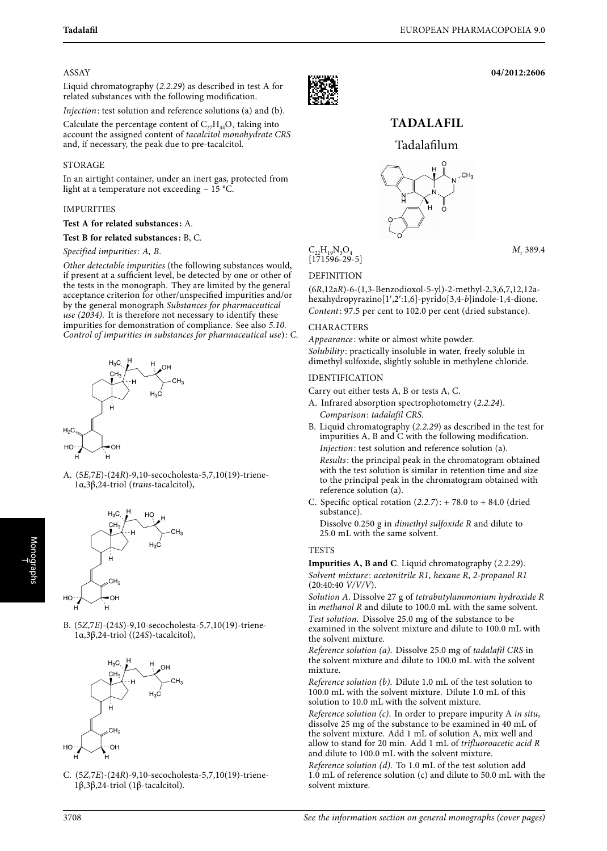**04/2012:2606**

#### ASSAY

Liquid chromatography (2.2.29) as described in test A for related substances with the following modification.

Injection: test solution and reference solutions (a) and (b).

Calculate the percentage content of  $C_{27}H_{44}O_3$  taking into account the assigned content of tacalcitol monohydrate CRS and, if necessary, the peak due to pre-tacalcitol.

## STORAGE

In an airtight container, under an inert gas, protected from light at a temperature not exceeding − 15 °C.

#### IMPURITIES

#### **Test A for related substances:** A.

#### **Test B for related substances:** B, C.

#### Specified impurities: A, B.

Other detectable impurities (the following substances would, if present at a sufficient level, be detected by one or other of the tests in the monograph. They are limited by the general acceptance criterion for other/unspecified impurities and/or by the general monograph Substances for pharmaceutical use (2034). It is therefore not necessary to identify these impurities for demonstration of compliance. See also 5.10. Control of impurities in substances for pharmaceutical use): C.



A. (5E,7E)-(24R)-9,10-secocholesta-5,7,10(19)-triene-1α,3β,24-triol (trans-tacalcitol),



B. (5Z,7E)-(24S)-9,10-secocholesta-5,7,10(19)-triene-1α,3β,24-triol ((24S)-tacalcitol),



C. (5Z,7E)-(24R)-9,10-secocholesta-5,7,10(19)-triene-1β,3β,24-triol (1β-tacalcitol).



# **TADALAFIL**

# Tadalafilum



 $C_{22}H_{19}N_3O_4$   $M_r$  389.4

## DEFINITION

(6R,12aR)-6-(1,3-Benzodioxol-5-yl)-2-methyl-2,3,6,7,12,12ahexahydropyrazino[1,2:1,6]-pyrido[3,4-b]indole-1,4-dione. Content: 97.5 per cent to 102.0 per cent (dried substance).

#### CHARACTERS

Appearance: white or almost white powder. Solubility: practically insoluble in water, freely soluble in dimethyl sulfoxide, slightly soluble in methylene chloride.

### IDENTIFICATION

Carry out either tests A, B or tests A, C.

- A. Infrared absorption spectrophotometry (2.2.24). Comparison: tadalafil CRS.
- B. Liquid chromatography (2.2.29) as described in the test for impurities A, B and C with the following modification. Injection: test solution and reference solution (a). Results: the principal peak in the chromatogram obtained with the test solution is similar in retention time and size to the principal peak in the chromatogram obtained with reference solution (a).
- C. Specific optical rotation  $(2.2.7)$ : + 78.0 to + 84.0 (dried substance).

Dissolve 0.250 g in dimethyl sulfoxide R and dilute to 25.0 mL with the same solvent.

### **TESTS**

**Impurities A, B and C**. Liquid chromatography (2.2.29). Solvent mixture: acetonitrile R1, hexane R, 2-propanol R1 (20:40:40 V/V/V).

Solution A. Dissolve 27 g of tetrabutylammonium hydroxide R in methanol R and dilute to 100.0 mL with the same solvent.

Test solution. Dissolve 25.0 mg of the substance to be examined in the solvent mixture and dilute to 100.0 mL with the solvent mixture.

Reference solution (a). Dissolve 25.0 mg of tadalafil CRS in the solvent mixture and dilute to 100.0 mL with the solvent mixture.

Reference solution (b). Dilute 1.0 mL of the test solution to 100.0 mL with the solvent mixture. Dilute 1.0 mL of this solution to 10.0 mL with the solvent mixture.

Reference solution  $(c)$ . In order to prepare impurity A in situ, dissolve 25 mg of the substance to be examined in 40 mL of the solvent mixture. Add 1 mL of solution A, mix well and allow to stand for 20 min. Add 1 mL of trifluoroacetic acid R and dilute to 100.0 mL with the solvent mixture.

Reference solution (d). To 1.0 mL of the test solution add 1.0 mL of reference solution (c) and dilute to 50.0 mL with the solvent mixture.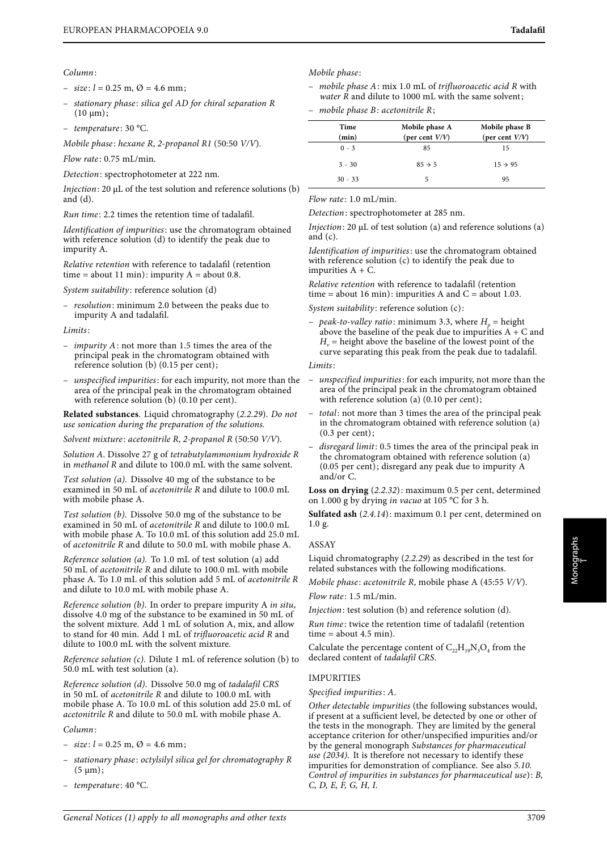- $-$  size:  $l = 0.25$  m,  $\varnothing = 4.6$  mm;
- stationary phase : silica gel AD for chiral separation R  $(10 \mu m);$
- $-$  temperature: 30 °C.

Mobile phase: hexane R, 2-propanol R1 (50:50 V/V).

 $Flow$  rate: 0.75 mL/min.

Detection: spectrophotometer at 222 nm.

Injection: 20 μL of the test solution and reference solutions (b) and  $(d)$ .

Run time : 2.2 times the retention time of tadalafil.

Identification of impurities: use the chromatogram obtained with reference solution (d) to identify the peak due to impurity A.

Relative retention with reference to tadalafil (retention time = about 11 min): impurity  $A =$  about 0.8.

System suitability: reference solution (d)

– resolution: minimum 2.0 between the peaks due to impurity A and tadalafil.

Limits:

- impurity A: not more than 1.5 times the area of the principal peak in the chromatogram obtained with reference solution (b) (0.15 per cent);
- unspecified impurities: for each impurity, not more than the area of the principal peak in the chromatogram obtained with reference solution (b) (0.10 per cent).

**Related substances**. Liquid chromatography (2.2.29). Do not use sonication during the preparation of the solutions.

Solvent mixture: acetonitrile R, 2-propanol R (50:50 V/V).

Solution A. Dissolve 27 g of tetrabutylammonium hydroxide R in methanol R and dilute to 100.0 mL with the same solvent.

Test solution (a). Dissolve 40 mg of the substance to be examined in 50 mL of acetonitrile R and dilute to 100.0 mL with mobile phase A.

Test solution (b). Dissolve 50.0 mg of the substance to be examined in 50 mL of acetonitrile R and dilute to 100.0 mL with mobile phase A. To 10.0 mL of this solution add 25.0 mL of acetonitrile R and dilute to 50.0 mL with mobile phase A.

Reference solution (a). To 1.0 mL of test solution (a) add 50 mL of acetonitrile R and dilute to 100.0 mL with mobile phase A. To 1.0 mL of this solution add 5 mL of acetonitrile R and dilute to 10.0 mL with mobile phase A.

Reference solution (b). In order to prepare impurity A in situ, dissolve 4.0 mg of the substance to be examined in 50 mL of the solvent mixture. Add 1 mL of solution A, mix, and allow to stand for 40 min. Add 1 mL of trifluoroacetic acid R and dilute to 100.0 mL with the solvent mixture.

Reference solution (c). Dilute 1 mL of reference solution (b) to 50.0 mL with test solution (a).

Reference solution (d). Dissolve 50.0 mg of tadalafil CRS in 50 mL of acetonitrile R and dilute to 100.0 mL with mobile phase A. To 10.0 mL of this solution add 25.0 mL of acetonitrile R and dilute to 50.0 mL with mobile phase A.

Column:

- $-$  size:  $l = 0.25$  m,  $\varnothing = 4.6$  mm;
- stationary phase : octylsilyl silica gel for chromatography R  $(5 \mu m);$
- temperature : 40 °C.
- Mobile phase :
- mobile phase  $A$ : mix 1.0 mL of trifluoroacetic acid R with *water*  $\overline{R}$  and dilute to 1000 mL with the same solvent;

mobile phase  $B$ : acetonitrile  $R$ ;

| Time<br>(min) | Mobile phase A<br>(per cent $V/V$ ) | Mobile phase B<br>(per cent $V/V$ ) |
|---------------|-------------------------------------|-------------------------------------|
| $0 - 3$       | 85                                  | 15                                  |
| $3 - 30$      | $85 \rightarrow 5$                  | $15 \rightarrow 95$                 |
| $30 - 33$     | 5                                   | 95                                  |

Flow rate: 1.0 mL/min.

Detection: spectrophotometer at 285 nm.

Injection: 20 μL of test solution (a) and reference solutions (a) and (c).

Identification of impurities: use the chromatogram obtained with reference solution (c) to identify the peak due to impurities  $A + C$ .

Relative retention with reference to tadalafil (retention time = about 16 min): impurities A and  $C =$  about 1.03.

System suitability: reference solution (c):

– peak-to-valley ratio: minimum 3.3, where  $H<sub>n</sub>$  = height above the baseline of the peak due to impurities  $A + C$  and  $H_v$  = height above the baseline of the lowest point of the curve separating this peak from the peak due to tadalafil.

#### Limits:

- unspecified impurities: for each impurity, not more than the area of the principal peak in the chromatogram obtained with reference solution (a) (0.10 per cent);
- total: not more than 3 times the area of the principal peak in the chromatogram obtained with reference solution (a) (0.3 per cent);
- disregard limit: 0.5 times the area of the principal peak in the chromatogram obtained with reference solution (a) (0.05 per cent); disregard any peak due to impurity A and/or C.

**Loss on drying** (2.2.32): maximum 0.5 per cent, determined on 1.000 g by drying in vacuo at 105 °C for 3 h.

**Sulfated ash** (2.4.14): maximum 0.1 per cent, determined on 1.0 g.

#### ASSAY

Liquid chromatography (2.2.29) as described in the test for related substances with the following modifications.

Mobile phase: acetonitrile R, mobile phase A (45:55 V/V). Flow rate: 1.5 mL/min.

Injection: test solution (b) and reference solution (d).

Run time : twice the retention time of tadalafil (retention  $time = about 4.5 min$ .

Calculate the percentage content of  $C_{22}H_{19}N_3O_4$  from the declared content of tadalafil CRS.

### IMPURITIES

Specified impurities: A.

Other detectable impurities (the following substances would, if present at a sufficient level, be detected by one or other of the tests in the monograph. They are limited by the general acceptance criterion for other/unspecified impurities and/or by the general monograph Substances for pharmaceutical use (2034). It is therefore not necessary to identify these impurities for demonstration of compliance. See also 5.10. Control of impurities in substances for pharmaceutical use): B, C, D, E, F, G, H, I.